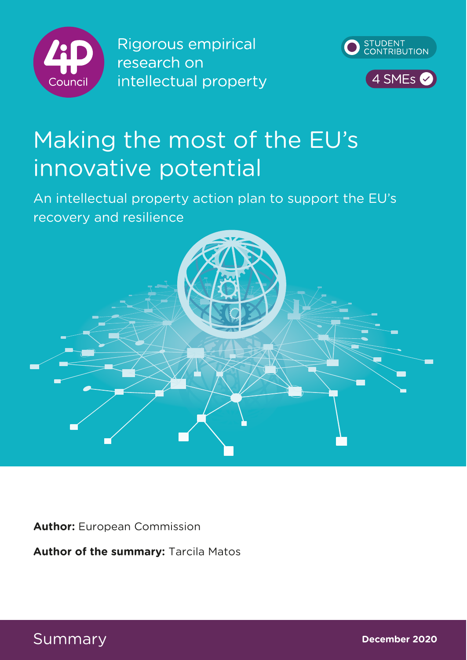

Rigorous empirical research on intellectual property



# Making the most of the EU's innovative potential

An intellectual property action plan to support the EU's recovery and resilience



**Author:** European Commission

**Author of the summary:** Tarcila Matos

Summary **December 2020**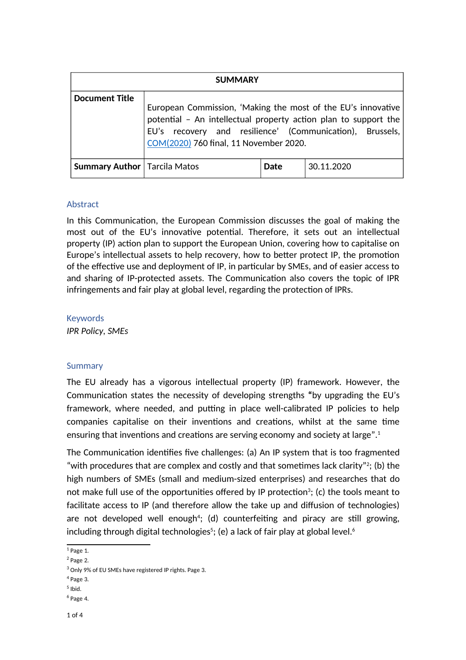| <b>SUMMARY</b>                        |                                                                                                                                                                                                                                       |      |            |  |
|---------------------------------------|---------------------------------------------------------------------------------------------------------------------------------------------------------------------------------------------------------------------------------------|------|------------|--|
| <b>Document Title</b>                 | European Commission, 'Making the most of the EU's innovative<br>potential - An intellectual property action plan to support the<br>EU's recovery and resilience' (Communication), Brussels,<br>COM(2020) 760 final, 11 November 2020. |      |            |  |
| <b>Summary Author</b>   Tarcila Matos |                                                                                                                                                                                                                                       | Date | 30.11.2020 |  |

#### **Abstract**

In this Communication, the European Commission discusses the goal of making the most out of the EU's innovative potential. Therefore, it sets out an intellectual property (IP) action plan to support the European Union, covering how to capitalise on Europe's intellectual assets to help recovery, how to better protect IP, the promotion of the effective use and deployment of IP, in particular by SMEs, and of easier access to and sharing of IP-protected assets. The Communication also covers the topic of IPR infringements and fair play at global level, regarding the protection of IPRs.

#### Keywords

*IPR Policy, SMEs*

## Summary

The EU already has a vigorous intellectual property (IP) framework. However, the Communica9on states the necessity of developing strengths **"**by upgrading the EU's framework, where needed, and putting in place well-calibrated IP policies to help companies capitalise on their inventions and creations, whilst at the same time ensuring that inventions and creations are serving economy and society at large". $1$ 

The Communication identifies five challenges: (a) An IP system that is too fragmented "with procedures that are complex and costly and that sometimes lack clarity"?; (b) the high numbers of SMEs (small and medium-sized enterprises) and researches that do not make full use of the opportunities offered by IP protection $^3;$  (c) the tools meant to facilitate access to IP (and therefore allow the take up and diffusion of technologies) are not developed well enough<sup>4</sup>; (d) counterfeiting and piracy are still growing, including through digital technologies $^5;$  (e) a lack of fair play at global level. $^6$ 

 $<sup>1</sup>$  Page 1.</sup>

 $^2$  Page 2.

 $^3$  Only 9% of EU SMEs have registered IP rights. Page 3.

<sup>4</sup> Page 3.

 $<sup>5</sup>$  Ibid.</sup>

<sup>&</sup>lt;sup>6</sup> Page 4.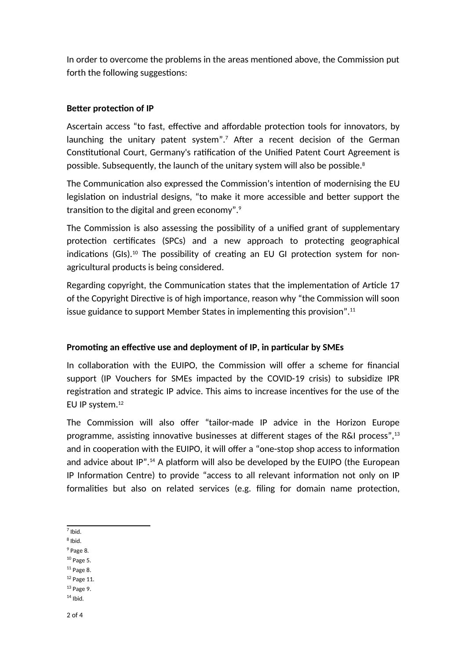In order to overcome the problems in the areas mentioned above, the Commission put forth the following suggestions:

## **Better protection of IP**

Ascertain access "to fast, effective and affordable protection tools for innovators, by launching the unitary patent system". $^7$  After a recent decision of the German Constitutional Court, Germany's ratification of the Unified Patent Court Agreement is possible. Subsequently, the launch of the unitary system will also be possible.<sup>8</sup>

The Communication also expressed the Commission's intention of modernising the EU legislation on industrial designs, "to make it more accessible and better support the transition to the digital and green economy". $9$ 

The Commission is also assessing the possibility of a unified grant of supplementary protection certificates (SPCs) and a new approach to protecting geographical indications (GIs).<sup>10</sup> The possibility of creating an EU GI protection system for nonagricultural products is being considered.

Regarding copyright, the Communication states that the implementation of Article 17 of the Copyright Directive is of high importance, reason why "the Commission will soon issue guidance to support Member States in implementing this provision".<sup>11</sup>

# **Promoting an effective use and deployment of IP, in particular by SMEs**

In collaboration with the EUIPO, the Commission will offer a scheme for financial support (IP Vouchers for SMEs impacted by the COVID-19 crisis) to subsidize IPR registration and strategic IP advice. This aims to increase incentives for the use of the EU IP system.<sup>12</sup>

The Commission will also offer "tailor-made IP advice in the Horizon Europe programme, assisting innovative businesses at different stages of the R&I process", $13$ and in cooperation with the EUIPO, it will offer a "one-stop shop access to information and advice about  $IP$ ".<sup>14</sup> A platform will also be developed by the EUIPO (the European IP Information Centre) to provide "access to all relevant information not only on IP formalities but also on related services (e.g. filing for domain name protection,

- $8$  Ibid.
- $<sup>9</sup>$  Page 8.</sup>
- $10$  Page 5.
- $11$  Page 8.
- <sup>12</sup> Page 11.
- <sup>13</sup> Page 9.
- $14$  Ibid.

<sup>7</sup> Ibid.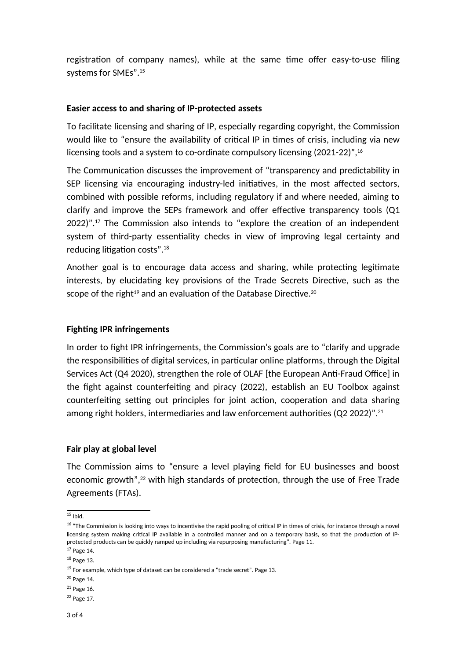registration of company names), while at the same time offer easy-to-use filing systems for SMEs".15

## **Easier access to and sharing of IP-protected assets**

To facilitate licensing and sharing of IP, especially regarding copyright, the Commission would like to "ensure the availability of critical IP in times of crisis, including via new licensing tools and a system to co-ordinate compulsory licensing (2021-22)",<sup>16</sup>

The Communication discusses the improvement of "transparency and predictability in SEP licensing via encouraging industry-led initiatives, in the most affected sectors, combined with possible reforms, including regulatory if and where needed, aiming to clarify and improve the SEPs framework and offer effective transparency tools ( $Q1$ )  $2022$ )".<sup>17</sup> The Commission also intends to "explore the creation of an independent system of third-party essentiality checks in view of improving legal certainty and reducing litigation costs". $18$ 

Another goal is to encourage data access and sharing, while protecting legitimate interests, by elucidating key provisions of the Trade Secrets Directive, such as the scope of the right<sup>19</sup> and an evaluation of the Database Directive.<sup>20</sup>

## **Fighting IPR infringements**

In order to fight IPR infringements, the Commission's goals are to "clarify and upgrade the responsibilities of digital services, in particular online platforms, through the Digital Services Act (Q4 2020), strengthen the role of OLAF [the European Anti-Fraud Office] in the fight against counterfeiting and piracy (2022), establish an EU Toolbox against counterfeiting setting out principles for joint action, cooperation and data sharing among right holders, intermediaries and law enforcement authorities (Q2 2022)".<sup>21</sup>

## **Fair play at global level**

The Commission aims to "ensure a level playing field for EU businesses and boost economic growth",<sup>22</sup> with high standards of protection, through the use of Free Trade Agreements (FTAs).

 $15$  Ibid.

<sup>&</sup>lt;sup>16</sup> "The Commission is looking into ways to incentivise the rapid pooling of critical IP in times of crisis, for instance through a novel licensing system making critical IP available in a controlled manner and on a temporary basis, so that the production of IPprotected products can be quickly ramped up including via repurposing manufacturing". Page 11.

<sup>17</sup> Page 14.

<sup>18</sup> Page 13.

 $19$  For example, which type of dataset can be considered a "trade secret". Page 13.

<sup>20</sup> Page 14.

<sup>21</sup> Page 16.

<sup>22</sup> Page 17.